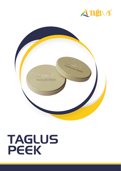



# TAGLUS PEEK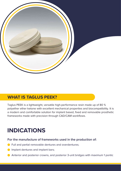

#### **WHAT IS TAGLUS PEEK?**

Taglus PEEK is a lightweight, versatile high-performance resin made up of 80 % polyether ether ketone with excellent mechanical properties and biocompatibility. It is a modern and comfortable solution for implant based, fixed and removable prosthetic frameworks made with precision through CAD/CAM workflows.

# **INDICATIONS**

**For the manufacture of frameworks used in the production of:**

- **C** Full and partial removable dentures and overdentures;
- Implant dentures and implant bars;
- Anterior and posterior crowns, and posterior 3-unit bridges with maximum 1 pontic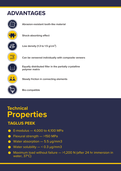## **ADVANTAGES**



**Abrasion-resistant tooth-like material**

**Shock-absorbing effect** 

**Low density (1.3 to 1.5 g/cm³)**

**Can be veneered individually with composite veneers**

**Equally distributed filler in the partially crystalline polymer matrix**

**Steady friction in connecting elements**

**Bio-compatible**

## **Technical Properties**

#### **TAGLUS PEEK**

- E-modulus 4,000 to 4,100 MPa
- $\bullet$  Flexural strength  $-$  >150 MPa
- Water absorption 5.5 µg/mm3
- Water solubility  $< 0.3$  µg/mm3
- Maximum load without failure >1,200 N (after 24 hr immersion in water, 37°C)